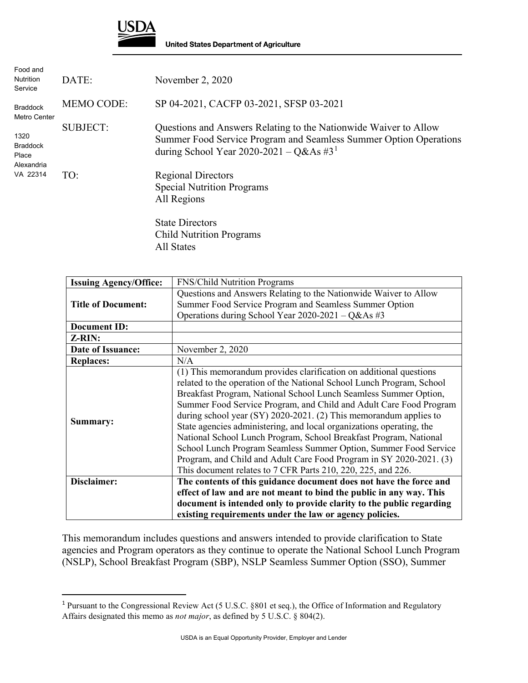

**United States Department of Agriculture** 

| Food and<br><b>Nutrition</b><br>Service        | DATE:             | November 2, 2020                                                                                                                                                                             |
|------------------------------------------------|-------------------|----------------------------------------------------------------------------------------------------------------------------------------------------------------------------------------------|
| <b>Braddock</b><br>Metro Center                | <b>MEMO CODE:</b> | SP 04-2021, CACFP 03-2021, SFSP 03-2021                                                                                                                                                      |
| 1320<br><b>Braddock</b><br>Place<br>Alexandria | <b>SUBJECT:</b>   | Questions and Answers Relating to the Nationwide Waiver to Allow<br>Summer Food Service Program and Seamless Summer Option Operations<br>during School Year 2020-2021 – Q&As #3 <sup>1</sup> |
| VA 22314                                       | TO:               | <b>Regional Directors</b><br><b>Special Nutrition Programs</b><br>All Regions                                                                                                                |
|                                                |                   | $C_{\text{total}}$ Diroctors                                                                                                                                                                 |

State Directors Child Nutrition Programs All States

| <b>Issuing Agency/Office:</b> | <b>FNS/Child Nutrition Programs</b>                                   |
|-------------------------------|-----------------------------------------------------------------------|
|                               | Questions and Answers Relating to the Nationwide Waiver to Allow      |
| <b>Title of Document:</b>     | Summer Food Service Program and Seamless Summer Option                |
|                               | Operations during School Year 2020-2021 - Q&As #3                     |
| <b>Document ID:</b>           |                                                                       |
| Z-RIN:                        |                                                                       |
| Date of Issuance:             | November 2, 2020                                                      |
| <b>Replaces:</b>              | N/A                                                                   |
|                               | (1) This memorandum provides clarification on additional questions    |
|                               | related to the operation of the National School Lunch Program, School |
|                               | Breakfast Program, National School Lunch Seamless Summer Option,      |
|                               | Summer Food Service Program, and Child and Adult Care Food Program    |
| Summary:                      | during school year $(SY)$ 2020-2021. (2) This memorandum applies to   |
|                               | State agencies administering, and local organizations operating, the  |
|                               | National School Lunch Program, School Breakfast Program, National     |
|                               | School Lunch Program Seamless Summer Option, Summer Food Service      |
|                               | Program, and Child and Adult Care Food Program in SY 2020-2021. (3)   |
|                               | This document relates to 7 CFR Parts 210, 220, 225, and 226.          |
| Disclaimer:                   | The contents of this guidance document does not have the force and    |
|                               | effect of law and are not meant to bind the public in any way. This   |
|                               | document is intended only to provide clarity to the public regarding  |
|                               | existing requirements under the law or agency policies.               |

This memorandum includes questions and answers intended to provide clarification to State agencies and Program operators as they continue to operate the National School Lunch Program (NSLP), School Breakfast Program (SBP), NSLP Seamless Summer Option (SSO), Summer

<span id="page-0-0"></span> <sup>1</sup> Pursuant to the Congressional Review Act (5 U.S.C. §801 et seq.), the Office of Information and Regulatory Affairs designated this memo as *not major*, as defined by 5 U.S.C. § 804(2).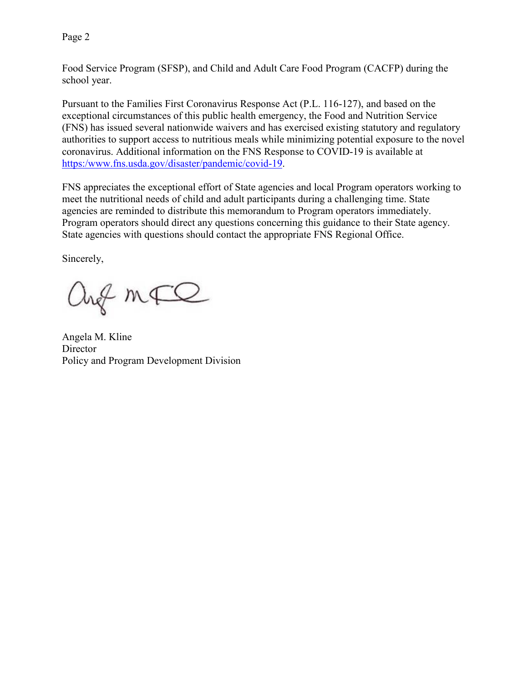Page 2

Food Service Program (SFSP), and Child and Adult Care Food Program (CACFP) during the school year.

Pursuant to the Families First Coronavirus Response Act (P.L. 116-127), and based on the exceptional circumstances of this public health emergency, the Food and Nutrition Service (FNS) has issued several nationwide waivers and has exercised existing statutory and regulatory authorities to support access to nutritious meals while minimizing potential exposure to the novel coronavirus. Additional information on the FNS Response to COVID-19 is available at [https:/www.fns.usda.gov/disaster/pandemic/covid-19.](https://www.fns.usda.gov/disaster/pandemic/covid-19)

FNS appreciates the exceptional effort of State agencies and local Program operators working to meet the nutritional needs of child and adult participants during a challenging time. State agencies are reminded to distribute this memorandum to Program operators immediately. Program operators should direct any questions concerning this guidance to their State agency. State agencies with questions should contact the appropriate FNS Regional Office.

Sincerely,

ang mFQ

Angela M. Kline **Director** Policy and Program Development Division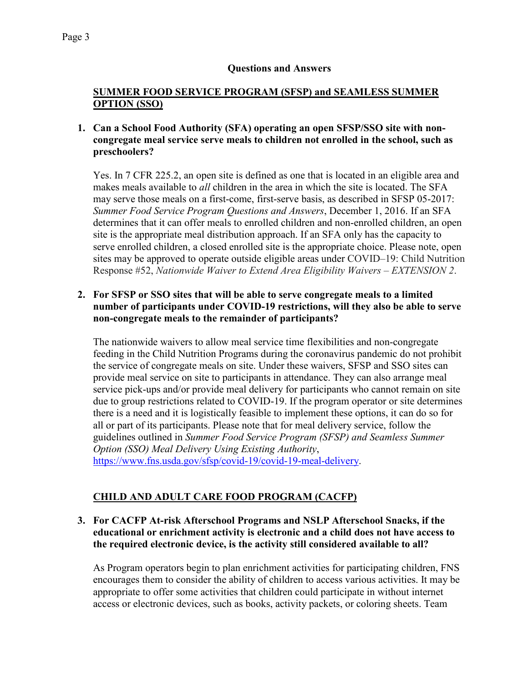#### **Questions and Answers**

## **SUMMER FOOD SERVICE PROGRAM (SFSP) and SEAMLESS SUMMER OPTION (SSO)**

## **1. Can a School Food Authority (SFA) operating an open SFSP/SSO site with noncongregate meal service serve meals to children not enrolled in the school, such as preschoolers?**

Yes. In 7 CFR 225.2, an open site is defined as one that is located in an eligible area and makes meals available to *all* children in the area in which the site is located. The SFA may serve those meals on a first-come, first-serve basis, as described in SFSP 05-2017: *Summer Food Service Program Questions and Answers*, December 1, 2016. If an SFA determines that it can offer meals to enrolled children and non-enrolled children, an open site is the appropriate meal distribution approach. If an SFA only has the capacity to serve enrolled children, a closed enrolled site is the appropriate choice. Please note, open sites may be approved to operate outside eligible areas under COVID–19: Child Nutrition Response #52, *Nationwide Waiver to Extend Area Eligibility Waivers – EXTENSION 2*.

# **2. For SFSP or SSO sites that will be able to serve congregate meals to a limited number of participants under COVID-19 restrictions, will they also be able to serve non-congregate meals to the remainder of participants?**

The nationwide waivers to allow meal service time flexibilities and non-congregate feeding in the Child Nutrition Programs during the coronavirus pandemic do not prohibit the service of congregate meals on site. Under these waivers, SFSP and SSO sites can provide meal service on site to participants in attendance. They can also arrange meal service pick-ups and/or provide meal delivery for participants who cannot remain on site due to group restrictions related to COVID-19. If the program operator or site determines there is a need and it is logistically feasible to implement these options, it can do so for all or part of its participants. Please note that for meal delivery service, follow the guidelines outlined in *Summer Food Service Program (SFSP) and Seamless Summer Option (SSO) Meal Delivery Using Existing Authority*, [https://www.fns.usda.gov/sfsp/covid-19/covid-19-meal-delivery.](https://gcc02.safelinks.protection.outlook.com/?url=https%3A%2F%2Fwww.fns.usda.gov%2Fsfsp%2Fcovid-19%2Fcovid-19-meal-delivery&data=02%7C01%7C%7Caef92247c777464c164808d819068766%7Ced5b36e701ee4ebc867ee03cfa0d4697%7C0%7C0%7C637286863110844369&sdata=zkpHTF%2F7Sp4T%2FCxRrSnwcYtd8D1OV2uEHUBhypJcN4k%3D&reserved=0)

# **CHILD AND ADULT CARE FOOD PROGRAM (CACFP)**

## **3. For CACFP At-risk Afterschool Programs and NSLP Afterschool Snacks, if the educational or enrichment activity is electronic and a child does not have access to the required electronic device, is the activity still considered available to all?**

As Program operators begin to plan enrichment activities for participating children, FNS encourages them to consider the ability of children to access various activities. It may be appropriate to offer some activities that children could participate in without internet access or electronic devices, such as books, activity packets, or coloring sheets. Team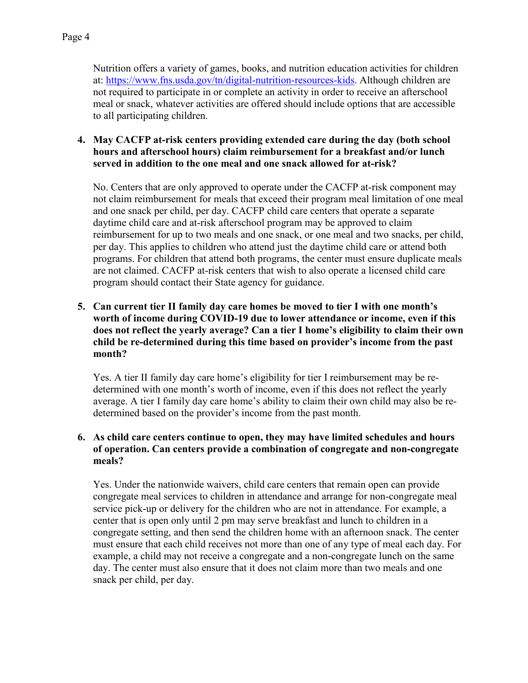Nutrition offers a variety of games, books, and nutrition education activities for children at: [https://www.fns.usda.gov/tn/digital-nutrition-resources-kids.](https://www.fns.usda.gov/tn/digital-nutrition-resources-kids) Although children are not required to participate in or complete an activity in order to receive an afterschool meal or snack, whatever activities are offered should include options that are accessible to all participating children.

## **4. May CACFP at-risk centers providing extended care during the day (both school hours and afterschool hours) claim reimbursement for a breakfast and/or lunch served in addition to the one meal and one snack allowed for at-risk?**

No. Centers that are only approved to operate under the CACFP at-risk component may not claim reimbursement for meals that exceed their program meal limitation of one meal and one snack per child, per day. CACFP child care centers that operate a separate daytime child care and at-risk afterschool program may be approved to claim reimbursement for up to two meals and one snack, or one meal and two snacks, per child, per day. This applies to children who attend just the daytime child care or attend both programs. For children that attend both programs, the center must ensure duplicate meals are not claimed. CACFP at-risk centers that wish to also operate a licensed child care program should contact their State agency for guidance.

# **5. Can current tier II family day care homes be moved to tier I with one month's worth of income during COVID-19 due to lower attendance or income, even if this does not reflect the yearly average? Can a tier I home's eligibility to claim their own child be re-determined during this time based on provider's income from the past month?**

Yes. A tier II family day care home's eligibility for tier I reimbursement may be redetermined with one month's worth of income, even if this does not reflect the yearly average. A tier I family day care home's ability to claim their own child may also be redetermined based on the provider's income from the past month.

# **6. As child care centers continue to open, they may have limited schedules and hours of operation. Can centers provide a combination of congregate and non-congregate meals?**

Yes. Under the nationwide waivers, child care centers that remain open can provide congregate meal services to children in attendance and arrange for non-congregate meal service pick-up or delivery for the children who are not in attendance. For example, a center that is open only until 2 pm may serve breakfast and lunch to children in a congregate setting, and then send the children home with an afternoon snack. The center must ensure that each child receives not more than one of any type of meal each day. For example, a child may not receive a congregate and a non-congregate lunch on the same day. The center must also ensure that it does not claim more than two meals and one snack per child, per day.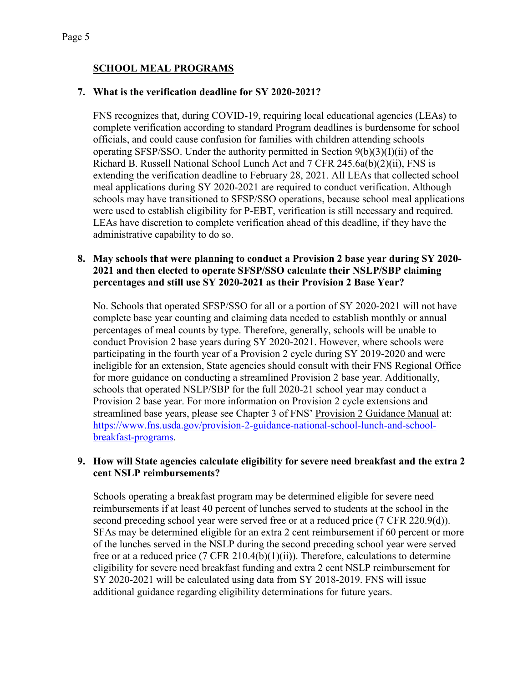# **SCHOOL MEAL PROGRAMS**

## **7. What is the verification deadline for SY 2020-2021?**

FNS recognizes that, during COVID-19, requiring local educational agencies (LEAs) to complete verification according to standard Program deadlines is burdensome for school officials, and could cause confusion for families with children attending schools operating SFSP/SSO. Under the authority permitted in Section 9(b)(3)(I)(ii) of the Richard B. Russell National School Lunch Act and 7 CFR 245.6a(b)(2)(ii), FNS is extending the verification deadline to February 28, 2021. All LEAs that collected school meal applications during SY 2020-2021 are required to conduct verification. Although schools may have transitioned to SFSP/SSO operations, because school meal applications were used to establish eligibility for P-EBT, verification is still necessary and required. LEAs have discretion to complete verification ahead of this deadline, if they have the administrative capability to do so.

### **8. May schools that were planning to conduct a Provision 2 base year during SY 2020- 2021 and then elected to operate SFSP/SSO calculate their NSLP/SBP claiming percentages and still use SY 2020-2021 as their Provision 2 Base Year?**

No. Schools that operated SFSP/SSO for all or a portion of SY 2020-2021 will not have complete base year counting and claiming data needed to establish monthly or annual percentages of meal counts by type. Therefore, generally, schools will be unable to conduct Provision 2 base years during SY 2020-2021. However, where schools were participating in the fourth year of a Provision 2 cycle during SY 2019-2020 and were ineligible for an extension, State agencies should consult with their FNS Regional Office for more guidance on conducting a streamlined Provision 2 base year. Additionally, schools that operated NSLP/SBP for the full 2020-21 school year may conduct a Provision 2 base year. For more information on Provision 2 cycle extensions and streamlined base years, please see Chapter 3 of FNS' Provision 2 Guidance Manual at: [https://www.fns.usda.gov/provision-2-guidance-national-school-lunch-and-school](https://www.fns.usda.gov/provision-2-guidance-national-school-lunch-and-school-breakfast-programs)[breakfast-programs.](https://www.fns.usda.gov/provision-2-guidance-national-school-lunch-and-school-breakfast-programs)

### **9. How will State agencies calculate eligibility for severe need breakfast and the extra 2 cent NSLP reimbursements?**

Schools operating a breakfast program may be determined eligible for severe need reimbursements if at least 40 percent of lunches served to students at the school in the second preceding school year were served free or at a reduced price (7 CFR 220.9(d)). SFAs may be determined eligible for an extra 2 cent reimbursement if 60 percent or more of the lunches served in the NSLP during the second preceding school year were served free or at a reduced price (7 CFR 210.4(b)(1)(ii)). Therefore, calculations to determine eligibility for severe need breakfast funding and extra 2 cent NSLP reimbursement for SY 2020-2021 will be calculated using data from SY 2018-2019. FNS will issue additional guidance regarding eligibility determinations for future years.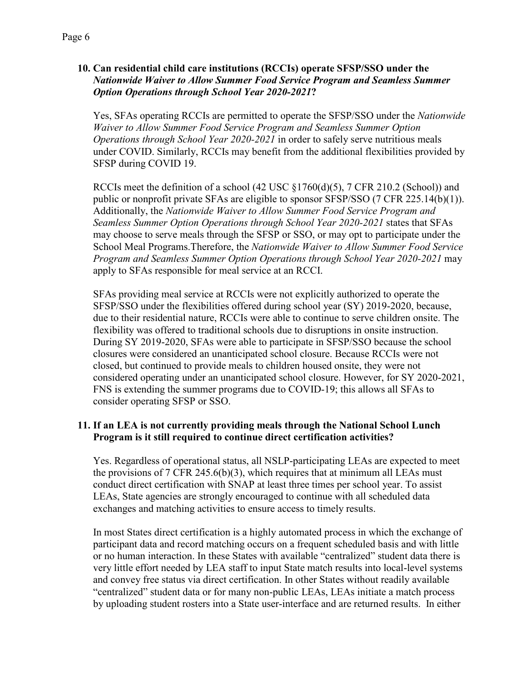## **10. Can residential child care institutions (RCCIs) operate SFSP/SSO under the**  *Nationwide Waiver to Allow Summer Food Service Program and Seamless Summer Option Operations through School Year 2020-2021***?**

Yes, SFAs operating RCCIs are permitted to operate the SFSP/SSO under the *Nationwide Waiver to Allow Summer Food Service Program and Seamless Summer Option Operations through School Year 2020-2021* in order to safely serve nutritious meals under COVID. Similarly, RCCIs may benefit from the additional flexibilities provided by SFSP during COVID 19.

RCCIs meet the definition of a school (42 USC §1760(d)(5), 7 CFR 210.2 (School)) and public or nonprofit private SFAs are eligible to sponsor SFSP/SSO (7 CFR 225.14(b)(1)). Additionally, the *Nationwide Waiver to Allow Summer Food Service Program and Seamless Summer Option Operations through School Year 2020-2021* states that SFAs may choose to serve meals through the SFSP or SSO, or may opt to participate under the School Meal Programs.Therefore, the *Nationwide Waiver to Allow Summer Food Service Program and Seamless Summer Option Operations through School Year 2020-2021* may apply to SFAs responsible for meal service at an RCCI.

SFAs providing meal service at RCCIs were not explicitly authorized to operate the SFSP/SSO under the flexibilities offered during school year (SY) 2019-2020, because, due to their residential nature, RCCIs were able to continue to serve children onsite. The flexibility was offered to traditional schools due to disruptions in onsite instruction. During SY 2019-2020, SFAs were able to participate in SFSP/SSO because the school closures were considered an unanticipated school closure. Because RCCIs were not closed, but continued to provide meals to children housed onsite, they were not considered operating under an unanticipated school closure. However, for SY 2020-2021, FNS is extending the summer programs due to COVID-19; this allows all SFAs to consider operating SFSP or SSO.

# **11. If an LEA is not currently providing meals through the National School Lunch Program is it still required to continue direct certification activities?**

Yes. Regardless of operational status, all NSLP-participating LEAs are expected to meet the provisions of  $7 \text{ CFR } 245.6(b)(3)$ , which requires that at minimum all LEAs must conduct direct certification with SNAP at least three times per school year. To assist LEAs, State agencies are strongly encouraged to continue with all scheduled data exchanges and matching activities to ensure access to timely results.

In most States direct certification is a highly automated process in which the exchange of participant data and record matching occurs on a frequent scheduled basis and with little or no human interaction. In these States with available "centralized" student data there is very little effort needed by LEA staff to input State match results into local-level systems and convey free status via direct certification. In other States without readily available "centralized" student data or for many non-public LEAs, LEAs initiate a match process by uploading student rosters into a State user-interface and are returned results. In either